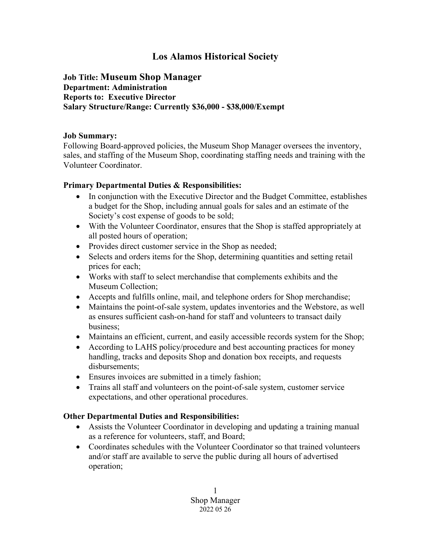# **Los Alamos Historical Society**

#### **Job Title: Museum Shop Manager Department: Administration Reports to: Executive Director Salary Structure/Range: Currently \$36,000 - \$38,000/Exempt**

#### **Job Summary:**

Following Board-approved policies, the Museum Shop Manager oversees the inventory, sales, and staffing of the Museum Shop, coordinating staffing needs and training with the Volunteer Coordinator.

#### **Primary Departmental Duties & Responsibilities:**

- In conjunction with the Executive Director and the Budget Committee, establishes a budget for the Shop, including annual goals for sales and an estimate of the Society's cost expense of goods to be sold;
- With the Volunteer Coordinator, ensures that the Shop is staffed appropriately at all posted hours of operation;
- Provides direct customer service in the Shop as needed;
- Selects and orders items for the Shop, determining quantities and setting retail prices for each;
- Works with staff to select merchandise that complements exhibits and the Museum Collection;
- Accepts and fulfills online, mail, and telephone orders for Shop merchandise;
- Maintains the point-of-sale system, updates inventories and the Webstore, as well as ensures sufficient cash-on-hand for staff and volunteers to transact daily business;
- Maintains an efficient, current, and easily accessible records system for the Shop;
- According to LAHS policy/procedure and best accounting practices for money handling, tracks and deposits Shop and donation box receipts, and requests disbursements;
- Ensures invoices are submitted in a timely fashion;
- Trains all staff and volunteers on the point-of-sale system, customer service expectations, and other operational procedures.

#### **Other Departmental Duties and Responsibilities:**

- Assists the Volunteer Coordinator in developing and updating a training manual as a reference for volunteers, staff, and Board;
- Coordinates schedules with the Volunteer Coordinator so that trained volunteers and/or staff are available to serve the public during all hours of advertised operation;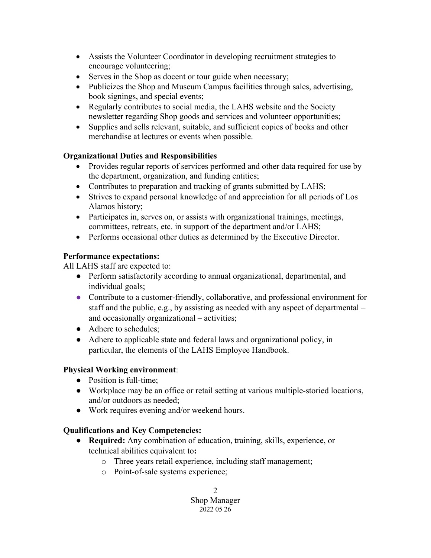- Assists the Volunteer Coordinator in developing recruitment strategies to encourage volunteering;
- Serves in the Shop as docent or tour guide when necessary;
- Publicizes the Shop and Museum Campus facilities through sales, advertising, book signings, and special events;
- Regularly contributes to social media, the LAHS website and the Society newsletter regarding Shop goods and services and volunteer opportunities;
- Supplies and sells relevant, suitable, and sufficient copies of books and other merchandise at lectures or events when possible.

## **Organizational Duties and Responsibilities**

- Provides regular reports of services performed and other data required for use by the department, organization, and funding entities;
- Contributes to preparation and tracking of grants submitted by LAHS;
- Strives to expand personal knowledge of and appreciation for all periods of Los Alamos history;
- Participates in, serves on, or assists with organizational trainings, meetings, committees, retreats, etc. in support of the department and/or LAHS;
- Performs occasional other duties as determined by the Executive Director.

### **Performance expectations:**

All LAHS staff are expected to:

- Perform satisfactorily according to annual organizational, departmental, and individual goals;
- Contribute to a customer-friendly, collaborative, and professional environment for staff and the public**,** e.g., by assisting as needed with any aspect of departmental – and occasionally organizational – activities;
- Adhere to schedules;
- Adhere to applicable state and federal laws and organizational policy, in particular, the elements of the LAHS Employee Handbook.

## **Physical Working environment**:

- Position is full-time;
- Workplace may be an office or retail setting at various multiple-storied locations, and/or outdoors as needed;
- Work requires evening and/or weekend hours.

## **Qualifications and Key Competencies:**

- **Required:** Any combination of education, training, skills, experience, or technical abilities equivalent to**:**
	- o Three years retail experience, including staff management;
	- o Point-of-sale systems experience;